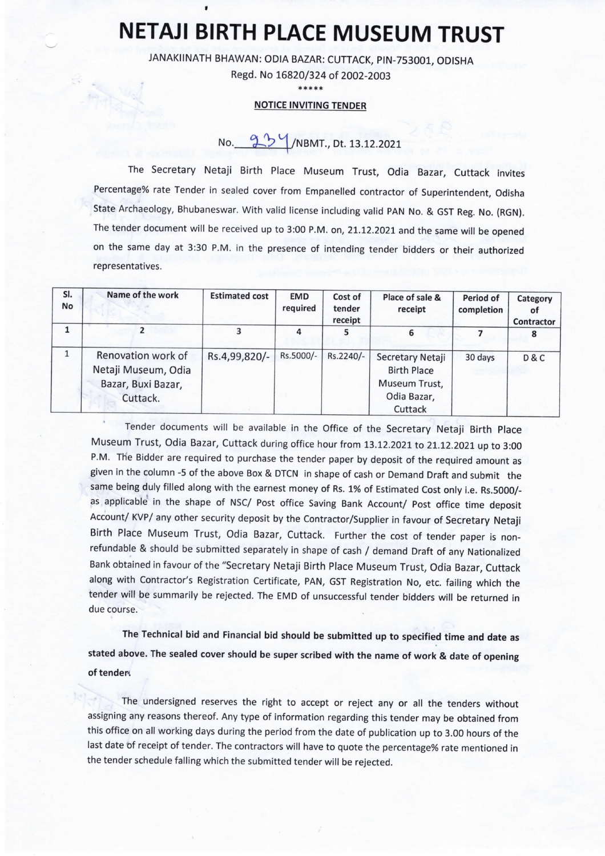## NETAJI BIRTH PLACE MUSEUM TRUST

JANAKIINATH BHAWAN: ODIA BAZAR: CUTTACK, PIN-753001, ODISHA

Regd. No 16820/324 of 2002-2003

\*\*\*\*\*

## NOTICE INVITING TENDER

No. 93/1/NBMT., Dt. 13.12.2021

The Secretary Netaji Birth place Museum Trust, Odia Bazar, Cuttack invites Percentage% rate Tender in sealed cover from Empanelled contractor of Superintendent, Odisha State Archaeology, Bhubaneswar. With valid license including valid PAN No. & GST Reg. No. (RGN). The tender document will be received up to 3:00 P.M. on, 21.12.2021 and the same will be opened on the same day at 3:30 P.M. in the presence of intending tender bidders or their authorized representatives.

| SI.<br>No | Name of the work                                                            | <b>Estimated cost</b> | <b>EMD</b><br>required | Cost of<br>tender<br>receipt | Place of sale &<br>receipt                                                        | Period of<br>completion | Category<br>0t<br>Contractor |
|-----------|-----------------------------------------------------------------------------|-----------------------|------------------------|------------------------------|-----------------------------------------------------------------------------------|-------------------------|------------------------------|
|           |                                                                             |                       | 4                      |                              | 6                                                                                 |                         |                              |
|           | Renovation work of<br>Netaji Museum, Odia<br>Bazar, Buxi Bazar,<br>Cuttack. | Rs.4,99,820/-         | Rs.5000/-              | Rs.2240/-                    | Secretary Netaji<br><b>Birth Place</b><br>Museum Trust,<br>Odia Bazar,<br>Cuttack | 30 days                 | <b>D&amp;C</b>               |

Tender documents will be available in the Office of the Secretary Netaji Birth place Museum Trust, Odia Bazar, Cuttack during office hour from 13.12.2021 to 21.12,2021 up to 3:00 P.M. The Bidder are required to purchase the tender paper by deposit of the required amount as given in the column -5 of the above Box & DTCN in shape of cash or Demand Draft and submit the same being duly filled along with the earnest money of Rs. 1% of Estimated Cost only i.e. Rs.5000/ as applicable in the shape of NSC/ Post office Saving Bank Account/ Post office time deposit Account/ KVP/ any other security deposit by the Contractor/Supplier in favour of Secretary Netaji Birth place Museum Trust, Odia Bazar, Cuttack. Further the cost of tender paper is nonrefundable & should be submitted separately in shape of cash / demand Draft of any Nationalized Bank obtained in favour of the "Secretary Netaji Birth Place Museum Trust, Odia Bazar, Cuttack along with Contractor's Registration Certificate, PAN, GST Registration No, etc. failing which the tender will be summarily be rejected. The EMD of unsuccessful tender bidders will be returned in due course.

The Technical bid and Financial bid should be submitted up to specified time and date as stated above. The sealed cover should be super scribed with the name of work & date of opening of tender.

The undersigned reserves the right to accept or reject any or all the tenders without assigning any reasons thereof. Any type of information regarding this tender may be obtained from this office on all working days during the period from the date of publication up to 3.00 hours of the last date of receipt of tender. The contractors will have to quote the percentage% rate mentioned in the tender schedule falling which the submitted tender will be rejected.